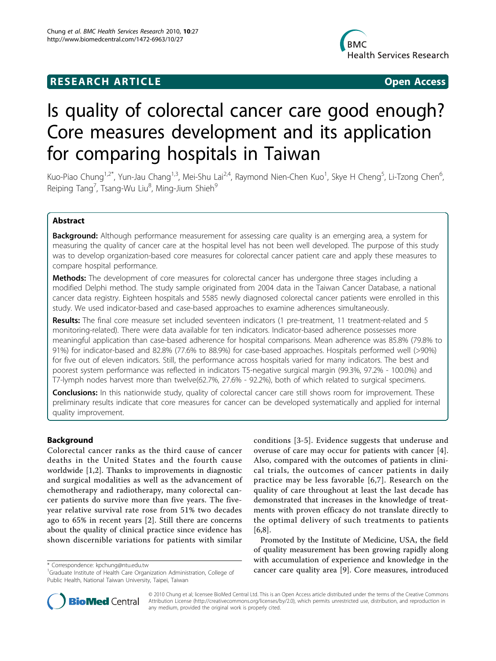## **RESEARCH ARTICLE Example 2018 12:00 Department of the Contract Open Access**



# Is quality of colorectal cancer care good enough? Core measures development and its application for comparing hospitals in Taiwan

Kuo-Piao Chung<sup>1,2\*</sup>, Yun-Jau Chang<sup>1,3</sup>, Mei-Shu Lai<sup>2,4</sup>, Raymond Nien-Chen Kuo<sup>1</sup>, Skye H Cheng<sup>5</sup>, Li-Tzong Chen<sup>6</sup> , Reiping Tang<sup>7</sup>, Tsang-Wu Liu<sup>8</sup>, Ming-Jium Shieh<sup>9</sup>

## Abstract

**Background:** Although performance measurement for assessing care quality is an emerging area, a system for measuring the quality of cancer care at the hospital level has not been well developed. The purpose of this study was to develop organization-based core measures for colorectal cancer patient care and apply these measures to compare hospital performance.

Methods: The development of core measures for colorectal cancer has undergone three stages including a modified Delphi method. The study sample originated from 2004 data in the Taiwan Cancer Database, a national cancer data registry. Eighteen hospitals and 5585 newly diagnosed colorectal cancer patients were enrolled in this study. We used indicator-based and case-based approaches to examine adherences simultaneously.

Results: The final core measure set included seventeen indicators (1 pre-treatment, 11 treatment-related and 5 monitoring-related). There were data available for ten indicators. Indicator-based adherence possesses more meaningful application than case-based adherence for hospital comparisons. Mean adherence was 85.8% (79.8% to 91%) for indicator-based and 82.8% (77.6% to 88.9%) for case-based approaches. Hospitals performed well (>90%) for five out of eleven indicators. Still, the performance across hospitals varied for many indicators. The best and poorest system performance was reflected in indicators T5-negative surgical margin (99.3%, 97.2% - 100.0%) and T7-lymph nodes harvest more than twelve(62.7%, 27.6% - 92.2%), both of which related to surgical specimens.

**Conclusions:** In this nationwide study, quality of colorectal cancer care still shows room for improvement. These preliminary results indicate that core measures for cancer can be developed systematically and applied for internal quality improvement.

## Background

Colorectal cancer ranks as the third cause of cancer deaths in the United States and the fourth cause worldwide [[1,2\]](#page-10-0). Thanks to improvements in diagnostic and surgical modalities as well as the advancement of chemotherapy and radiotherapy, many colorectal cancer patients do survive more than five years. The fiveyear relative survival rate rose from 51% two decades ago to 65% in recent years [\[2](#page-10-0)]. Still there are concerns about the quality of clinical practice since evidence has shown discernible variations for patients with similar

conditions [\[3-5](#page-10-0)]. Evidence suggests that underuse and overuse of care may occur for patients with cancer [\[4](#page-10-0)]. Also, compared with the outcomes of patients in clinical trials, the outcomes of cancer patients in daily practice may be less favorable [[6](#page-10-0),[7](#page-10-0)]. Research on the quality of care throughout at least the last decade has demonstrated that increases in the knowledge of treatments with proven efficacy do not translate directly to the optimal delivery of such treatments to patients [[6,8](#page-10-0)].

Promoted by the Institute of Medicine, USA, the field of quality measurement has been growing rapidly along with accumulation of experience and knowledge in the \* Correspondence: [kpchung@ntu.edu.tw](mailto:kpchung@ntu.edu.tw)<br><sup>1</sup>Graduate Institute of Health Care Organization Administration College of **Cancer care quality area** [[9\]](#page-10-0). **Core measures, introduced** 



© 2010 Chung et al; licensee BioMed Central Ltd. This is an Open Access article distributed under the terms of the Creative Commons Attribution License [\(http://creativecommons.org/licenses/by/2.0](http://creativecommons.org/licenses/by/2.0)), which permits unrestricted use, distribution, and reproduction in any medium, provided the original work is properly cited.

<sup>&</sup>lt;sup>1</sup>Graduate Institute of Health Care Organization Administration, College of Public Health, National Taiwan University, Taipei, Taiwan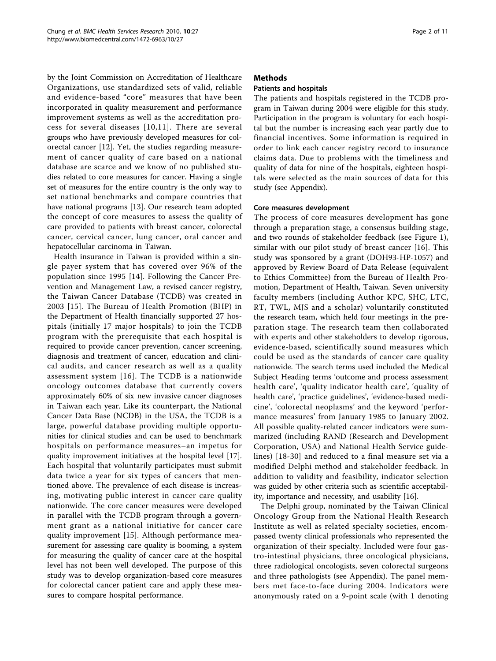by the Joint Commission on Accreditation of Healthcare Organizations, use standardized sets of valid, reliable and evidence-based "core" measures that have been incorporated in quality measurement and performance improvement systems as well as the accreditation process for several diseases [[10,11](#page-10-0)]. There are several groups who have previously developed measures for colorectal cancer [\[12](#page-10-0)]. Yet, the studies regarding measurement of cancer quality of care based on a national database are scarce and we know of no published studies related to core measures for cancer. Having a single set of measures for the entire country is the only way to set national benchmarks and compare countries that have national programs [\[13](#page-10-0)]. Our research team adopted the concept of core measures to assess the quality of care provided to patients with breast cancer, colorectal cancer, cervical cancer, lung cancer, oral cancer and hepatocellular carcinoma in Taiwan.

Health insurance in Taiwan is provided within a single payer system that has covered over 96% of the population since 1995 [[14](#page-10-0)]. Following the Cancer Prevention and Management Law, a revised cancer registry, the Taiwan Cancer Database (TCDB) was created in 2003 [[15\]](#page-10-0). The Bureau of Health Promotion (BHP) in the Department of Health financially supported 27 hospitals (initially 17 major hospitals) to join the TCDB program with the prerequisite that each hospital is required to provide cancer prevention, cancer screening, diagnosis and treatment of cancer, education and clinical audits, and cancer research as well as a quality assessment system [[16](#page-10-0)]. The TCDB is a nationwide oncology outcomes database that currently covers approximately 60% of six new invasive cancer diagnoses in Taiwan each year. Like its counterpart, the National Cancer Data Base (NCDB) in the USA, the TCDB is a large, powerful database providing multiple opportunities for clinical studies and can be used to benchmark hospitals on performance measures–an impetus for quality improvement initiatives at the hospital level [\[17](#page-10-0)]. Each hospital that voluntarily participates must submit data twice a year for six types of cancers that mentioned above. The prevalence of each disease is increasing, motivating public interest in cancer care quality nationwide. The core cancer measures were developed in parallel with the TCDB program through a government grant as a national initiative for cancer care quality improvement [\[15](#page-10-0)]. Although performance measurement for assessing care quality is booming, a system for measuring the quality of cancer care at the hospital level has not been well developed. The purpose of this study was to develop organization-based core measures for colorectal cancer patient care and apply these measures to compare hospital performance.

## Methods

#### Patients and hospitals

The patients and hospitals registered in the TCDB program in Taiwan during 2004 were eligible for this study. Participation in the program is voluntary for each hospital but the number is increasing each year partly due to financial incentives. Some information is required in order to link each cancer registry record to insurance claims data. Due to problems with the timeliness and quality of data for nine of the hospitals, eighteen hospitals were selected as the main sources of data for this study (see Appendix).

## Core measures development

The process of core measures development has gone through a preparation stage, a consensus building stage, and two rounds of stakeholder feedback (see Figure [1](#page-2-0)), similar with our pilot study of breast cancer [[16\]](#page-10-0). This study was sponsored by a grant (DOH93-HP-1057) and approved by Review Board of Data Release (equivalent to Ethics Committee) from the Bureau of Health Promotion, Department of Health, Taiwan. Seven university faculty members (including Author KPC, SHC, LTC, RT, TWL, MJS and a scholar) voluntarily constituted the research team, which held four meetings in the preparation stage. The research team then collaborated with experts and other stakeholders to develop rigorous, evidence-based, scientifically sound measures which could be used as the standards of cancer care quality nationwide. The search terms used included the Medical Subject Heading terms 'outcome and process assessment health care', 'quality indicator health care', 'quality of health care', 'practice guidelines', 'evidence-based medicine', 'colorectal neoplasms' and the keyword 'performance measures' from January 1985 to January 2002. All possible quality-related cancer indicators were summarized (including RAND (Research and Development Corporation, USA) and National Health Service guidelines) [[18-30\]](#page-10-0) and reduced to a final measure set via a modified Delphi method and stakeholder feedback. In addition to validity and feasibility, indicator selection was guided by other criteria such as scientific acceptability, importance and necessity, and usability [[16](#page-10-0)].

The Delphi group, nominated by the Taiwan Clinical Oncology Group from the National Health Research Institute as well as related specialty societies, encompassed twenty clinical professionals who represented the organization of their specialty. Included were four gastro-intestinal physicians, three oncological physicians, three radiological oncologists, seven colorectal surgeons and three pathologists (see Appendix). The panel members met face-to-face during 2004. Indicators were anonymously rated on a 9-point scale (with 1 denoting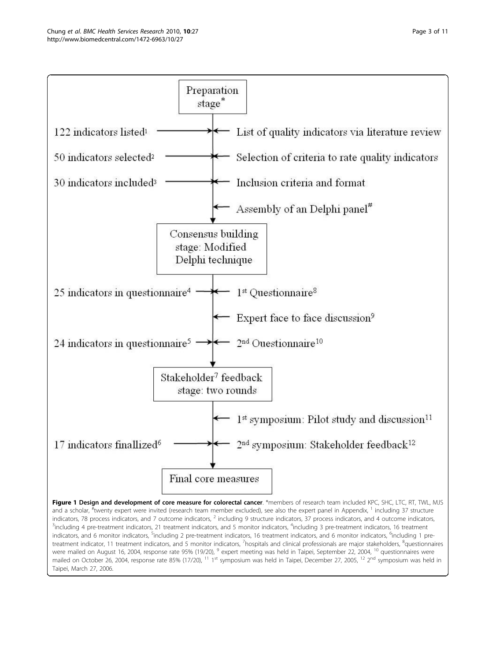<span id="page-2-0"></span>

mailed on October 26, 2004, response rate 85% (17/20), <sup>11</sup> 1<sup>st</sup> symposium was held in Taipei, December 27, 2005, <sup>12</sup> 2<sup>nd</sup> symposium was held in Taipei, March 27, 2006.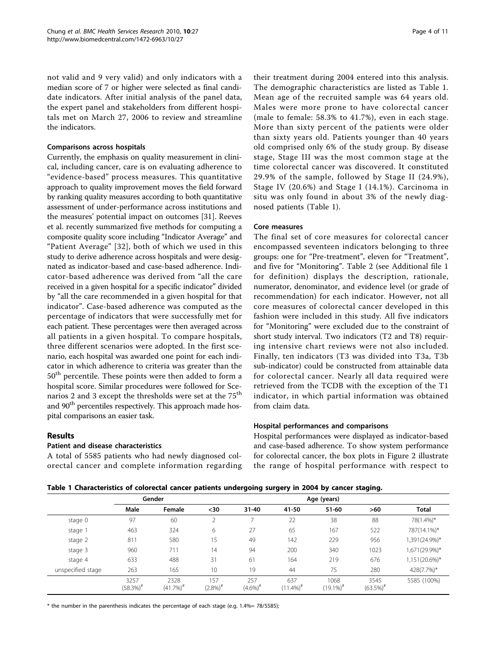not valid and 9 very valid) and only indicators with a median score of 7 or higher were selected as final candidate indicators. After initial analysis of the panel data, the expert panel and stakeholders from different hospitals met on March 27, 2006 to review and streamline the indicators.

#### Comparisons across hospitals

Currently, the emphasis on quality measurement in clinical, including cancer, care is on evaluating adherence to "evidence-based" process measures. This quantitative approach to quality improvement moves the field forward by ranking quality measures according to both quantitative assessment of under-performance across institutions and the measures' potential impact on outcomes [[31\]](#page-10-0). Reeves et al. recently summarized five methods for computing a composite quality score including "Indicator Average" and "Patient Average" [[32](#page-10-0)], both of which we used in this study to derive adherence across hospitals and were designated as indicator-based and case-based adherence. Indicator-based adherence was derived from "all the care received in a given hospital for a specific indicator" divided by "all the care recommended in a given hospital for that indicator". Case-based adherence was computed as the percentage of indicators that were successfully met for each patient. These percentages were then averaged across all patients in a given hospital. To compare hospitals, three different scenarios were adopted. In the first scenario, each hospital was awarded one point for each indicator in which adherence to criteria was greater than the  $50<sup>th</sup>$  percentile. These points were then added to form a hospital score. Similar procedures were followed for Scenarios 2 and 3 except the thresholds were set at the 75<sup>th</sup> and 90<sup>th</sup> percentiles respectively. This approach made hospital comparisons an easier task.

## Results

## Patient and disease characteristics

A total of 5585 patients who had newly diagnosed colorectal cancer and complete information regarding

their treatment during 2004 entered into this analysis. The demographic characteristics are listed as Table 1. Mean age of the recruited sample was 64 years old. Males were more prone to have colorectal cancer (male to female: 58.3% to 41.7%), even in each stage. More than sixty percent of the patients were older than sixty years old. Patients younger than 40 years old comprised only 6% of the study group. By disease stage, Stage III was the most common stage at the time colorectal cancer was discovered. It constituted 29.9% of the sample, followed by Stage II (24.9%), Stage IV (20.6%) and Stage I (14.1%). Carcinoma in situ was only found in about 3% of the newly diagnosed patients (Table 1).

#### Core measures

The final set of core measures for colorectal cancer encompassed seventeen indicators belonging to three groups: one for "Pre-treatment", eleven for "Treatment", and five for "Monitoring". Table [2](#page-4-0) (see Additional file [1](#page-9-0) for definition) displays the description, rationale, numerator, denominator, and evidence level (or grade of recommendation) for each indicator. However, not all core measures of colorectal cancer developed in this fashion were included in this study. All five indicators for "Monitoring" were excluded due to the constraint of short study interval. Two indicators (T2 and T8) requiring intensive chart reviews were not also included. Finally, ten indicators (T3 was divided into T3a, T3b sub-indicator) could be constructed from attainable data for colorectal cancer. Nearly all data required were retrieved from the TCDB with the exception of the T1 indicator, in which partial information was obtained from claim data.

#### Hospital performances and comparisons

Hospital performances were displayed as indicator-based and case-based adherence. To show system performance for colorectal cancer, the box plots in Figure [2](#page-6-0) illustrate the range of hospital performance with respect to

Table 1 Characteristics of colorectal cancer patients undergoing surgery in 2004 by cancer staging.

|                   | Gender                          |                                 |                       | Age (years)           |                        |                         |                                 |               |
|-------------------|---------------------------------|---------------------------------|-----------------------|-----------------------|------------------------|-------------------------|---------------------------------|---------------|
|                   | Male                            | Female                          | $30$                  | $31 - 40$             | 41-50                  | $51 - 60$               | >60                             | <b>Total</b>  |
| stage 0           | 97                              | 60                              |                       | $\overline{ }$        | 22                     | 38                      | 88                              | 78(1.4%)*     |
| stage 1           | 463                             | 324                             | 6                     | 27                    | 65                     | 167                     | 522                             | 787(14.1%)*   |
| stage 2           | 811                             | 580                             | 15                    | 49                    | 142                    | 229                     | 956                             | 1,391(24.9%)* |
| stage 3           | 960                             | 711                             | 14                    | 94                    | 200                    | 340                     | 1023                            | 1,671(29.9%)* |
| stage 4           | 633                             | 488                             | 31                    | 61                    | 164                    | 219                     | 676                             | 1,151(20.6%)* |
| unspecified stage | 263                             | 165                             | 10                    | 19                    | 44                     | 75                      | 280                             | 428(7.7%)*    |
|                   | 3257<br>$(58.3\%)$ <sup>#</sup> | 2328<br>$(41.7\%)$ <sup>#</sup> | 157<br>$(2.8\%)^{\#}$ | 257<br>$(4.6\%)^{\#}$ | 637<br>$(11.4\%)^{\#}$ | 1068<br>$(19.1\%)^{\#}$ | 3545<br>$(63.5\%)$ <sup>#</sup> | 5585 (100%)   |

\* the number in the parenthesis indicates the percentage of each stage (e.g. 1.4%= 78/5585);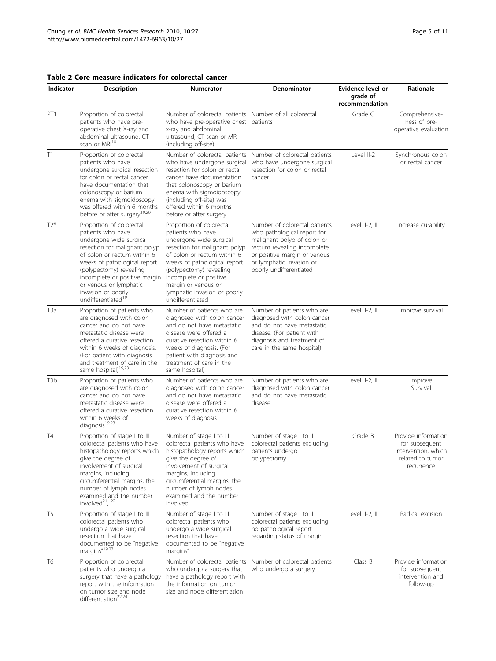| Indicator      | <b>Description</b>                                                                                                                                                                                                                                                                                                     | Numerator                                                                                                                                                                                                                                                                                                | Denominator                                                                                                                                                                                                       | Evidence level or<br>grade of<br>recommendation | Rationale                                                                                      |
|----------------|------------------------------------------------------------------------------------------------------------------------------------------------------------------------------------------------------------------------------------------------------------------------------------------------------------------------|----------------------------------------------------------------------------------------------------------------------------------------------------------------------------------------------------------------------------------------------------------------------------------------------------------|-------------------------------------------------------------------------------------------------------------------------------------------------------------------------------------------------------------------|-------------------------------------------------|------------------------------------------------------------------------------------------------|
| PT1            | Proportion of colorectal<br>patients who have pre-<br>operative chest X-ray and<br>abdominal ultrasound, CT<br>scan or MRI <sup>18</sup>                                                                                                                                                                               | Number of colorectal patients Number of all colorectal<br>who have pre-operative chest patients<br>x-ray and abdominal<br>ultrasound, CT scan or MRI<br>(including off-site)                                                                                                                             |                                                                                                                                                                                                                   | Grade C                                         | Comprehensive-<br>ness of pre-<br>operative evaluation                                         |
| T1             | Proportion of colorectal<br>patients who have<br>undergone surgical resection<br>for colon or rectal cancer<br>have documentation that<br>colonoscopy or barium<br>enema with sigmoidoscopy<br>was offered within 6 months<br>before or after surgery <sup>19,20</sup>                                                 | Number of colorectal patients<br>who have undergone surgical<br>resection for colon or rectal<br>cancer have documentation<br>that colonoscopy or barium<br>enema with sigmoidoscopy<br>(including off-site) was<br>offered within 6 months<br>before or after surgery                                   | Number of colorectal patients<br>who have undergone surgical<br>resection for colon or rectal<br>cancer                                                                                                           | Level II-2                                      | Synchronous colon<br>or rectal cancer                                                          |
| $T2*$          | Proportion of colorectal<br>patients who have<br>undergone wide surgical<br>resection for malignant polyp<br>of colon or rectum within 6<br>weeks of pathological report<br>(polypectomy) revealing<br>incomplete or positive margin<br>or venous or lymphatic<br>invasion or poorly<br>undifferentiated <sup>19</sup> | Proportion of colorectal<br>patients who have<br>undergone wide surgical<br>resection for malignant polyp<br>of colon or rectum within 6<br>weeks of pathological report<br>(polypectomy) revealing<br>incomplete or positive<br>margin or venous or<br>lymphatic invasion or poorly<br>undifferentiated | Number of colorectal patients<br>who pathological report for<br>malignant polyp of colon or<br>rectum revealing incomplete<br>or positive margin or venous<br>or lymphatic invasion or<br>poorly undifferentiated | Level II-2, III                                 | Increase curability                                                                            |
| T3a            | Proportion of patients who<br>are diagnosed with colon<br>cancer and do not have<br>metastatic disease were<br>offered a curative resection<br>within 6 weeks of diagnosis.<br>(For patient with diagnosis<br>and treatment of care in the<br>same hospital) <sup>19,23</sup>                                          | Number of patients who are<br>diagnosed with colon cancer<br>and do not have metastatic<br>disease were offered a<br>curative resection within 6<br>weeks of diagnosis. (For<br>patient with diagnosis and<br>treatment of care in the<br>same hospital)                                                 | Number of patients who are<br>diagnosed with colon cancer<br>and do not have metastatic<br>disease. (For patient with<br>diagnosis and treatment of<br>care in the same hospital)                                 | Level II-2, III                                 | Improve survival                                                                               |
| T3b            | Proportion of patients who<br>are diagnosed with colon<br>cancer and do not have<br>metastatic disease were<br>offered a curative resection<br>within 6 weeks of<br>diagnosis <sup>19,23</sup>                                                                                                                         | Number of patients who are<br>diagnosed with colon cancer<br>and do not have metastatic<br>disease were offered a<br>curative resection within 6<br>weeks of diagnosis                                                                                                                                   | Number of patients who are<br>diagnosed with colon cancer<br>and do not have metastatic<br>disease                                                                                                                | Level II-2, III                                 | Improve<br>Survival                                                                            |
| <b>T4</b>      | Proportion of stage I to III<br>colorectal patients who have<br>histopathology reports which<br>give the degree of<br>involvement of surgical<br>margins, including<br>circumferential margins, the<br>number of lymph nodes<br>examined and the number<br>involved <sup>21</sup> , <sup>22</sup>                      | Number of stage I to III<br>colorectal patients who have<br>histopathology reports which<br>give the degree of<br>involvement of surgical<br>margins, including<br>circumferential margins, the<br>number of lymph nodes<br>examined and the number<br>involved                                          | Number of stage I to III<br>colorectal patients excluding<br>patients undergo<br>polypectomy                                                                                                                      | Grade B                                         | Provide information<br>for subsequent<br>intervention, which<br>related to tumor<br>recurrence |
| T <sub>5</sub> | Proportion of stage I to III<br>colorectal patients who<br>undergo a wide surgical<br>resection that have<br>documented to be "negative<br>margins" <sup>19,23</sup>                                                                                                                                                   | Number of stage I to III<br>colorectal patients who<br>undergo a wide surgical<br>resection that have<br>documented to be "negative<br>margins"                                                                                                                                                          | Number of stage I to III<br>colorectal patients excluding<br>no pathological report<br>regarding status of margin                                                                                                 | Level II-2, III                                 | Radical excision                                                                               |
| T <sub>6</sub> | Proportion of colorectal<br>patients who undergo a<br>surgery that have a pathology<br>report with the information<br>on tumor size and node<br>differentiation <sup>22,24</sup>                                                                                                                                       | Number of colorectal patients<br>who undergo a surgery that<br>have a pathology report with<br>the information on tumor<br>size and node differentiation                                                                                                                                                 | Number of colorectal patients<br>who undergo a surgery                                                                                                                                                            | Class B                                         | Provide information<br>for subsequent<br>intervention and<br>follow-up                         |

## <span id="page-4-0"></span>Table 2 Core measure indicators for colorectal cancer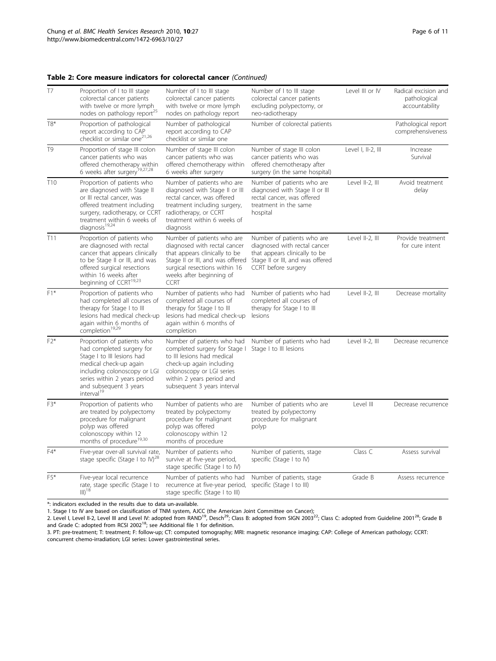| T7              | Proportion of I to III stage<br>colorectal cancer patients<br>with twelve or more lymph<br>nodes on pathology report <sup>25</sup>                                                                                                  | Number of I to III stage<br>colorectal cancer patients<br>with twelve or more lymph<br>nodes on pathology report                                                                                               | Number of I to III stage<br>colorectal cancer patients<br>excluding polypectomy, or<br>neo-radiotherapy                                                | Level III or IV    | Radical excision and<br>pathological<br>accountability |
|-----------------|-------------------------------------------------------------------------------------------------------------------------------------------------------------------------------------------------------------------------------------|----------------------------------------------------------------------------------------------------------------------------------------------------------------------------------------------------------------|--------------------------------------------------------------------------------------------------------------------------------------------------------|--------------------|--------------------------------------------------------|
| T8*             | Proportion of pathological<br>report according to CAP<br>checklist or similar one <sup>21,26</sup>                                                                                                                                  | Number of pathological<br>report according to CAP<br>checklist or similar one                                                                                                                                  | Number of colorectal patients                                                                                                                          |                    | Pathological report<br>comprehensiveness               |
| T <sub>9</sub>  | Proportion of stage III colon<br>cancer patients who was<br>offered chemotherapy within<br>6 weeks after surgery <sup>19,27,28</sup>                                                                                                | Number of stage III colon<br>cancer patients who was<br>offered chemotherapy within<br>6 weeks after surgery                                                                                                   | Number of stage III colon<br>cancer patients who was<br>offered chemotherapy after<br>surgery (in the same hospital)                                   | Level I, II-2, III | Increase<br>Survival                                   |
| T <sub>10</sub> | Proportion of patients who<br>are diagnosed with Stage II<br>or III rectal cancer, was<br>offered treatment including<br>surgery, radiotherapy, or CCRT<br>treatment within 6 weeks of<br>diagnosis <sup>19,24</sup>                | Number of patients who are<br>diagnosed with Stage II or III<br>rectal cancer, was offered<br>treatment including surgery,<br>radiotherapy, or CCRT<br>treatment within 6 weeks of<br>diagnosis                | Number of patients who are<br>diagnosed with Stage II or III<br>rectal cancer, was offered<br>treatment in the same<br>hospital                        | Level II-2, III    | Avoid treatment<br>delay                               |
| T <sub>11</sub> | Proportion of patients who<br>are diagnosed with rectal<br>cancer that appears clinically<br>to be Stage II or III, and was<br>offered surgical resections<br>within 16 weeks after<br>beginning of CCRT <sup>19,23</sup>           | Number of patients who are<br>diagnosed with rectal cancer<br>that appears clinically to be<br>Stage II or III, and was offered<br>surgical resections within 16<br>weeks after beginning of<br><b>CCRT</b>    | Number of patients who are<br>diagnosed with rectal cancer<br>that appears clinically to be<br>Stage II or III, and was offered<br>CCRT before surgery | Level II-2, III    | Provide treatment<br>for cure intent                   |
| $F1*$           | Proportion of patients who<br>had completed all courses of<br>therapy for Stage I to III<br>lesions had medical check-up<br>again within 6 months of<br>completion <sup>19,29</sup>                                                 | Number of patients who had<br>completed all courses of<br>therapy for Stage I to III<br>lesions had medical check-up<br>again within 6 months of<br>completion                                                 | Number of patients who had<br>completed all courses of<br>therapy for Stage I to III<br>lesions                                                        | Level II-2, III    | Decrease mortality                                     |
| $F2*$           | Proportion of patients who<br>had completed surgery for<br>Stage I to III lesions had<br>medical check-up again<br>including colonoscopy or LGI<br>series within 2 years period<br>and subsequent 3 years<br>interval <sup>19</sup> | Number of patients who had<br>completed surgery for Stage I<br>to III lesions had medical<br>check-up again including<br>colonoscopy or LGI series<br>within 2 years period and<br>subsequent 3 years interval | Number of patients who had<br>Stage I to III lesions                                                                                                   | Level II-2, III    | Decrease recurrence                                    |
| F3*             | Proportion of patients who<br>are treated by polypectomy<br>procedure for malignant<br>polyp was offered<br>colonoscopy within 12<br>months of procedure <sup>19,30</sup>                                                           | Number of patients who are<br>treated by polypectomy<br>procedure for malignant<br>polyp was offered<br>colonoscopy within 12<br>months of procedure                                                           | Number of patients who are<br>treated by polypectomy<br>procedure for malignant<br>polyp                                                               | Level III          | Decrease recurrence                                    |
| $FA*$           | Five-year over-all survival rate,<br>stage specific (Stage I to $IV^{28}$                                                                                                                                                           | Number of patients who<br>survive at five-year period,<br>stage specific (Stage I to IV)                                                                                                                       | Number of patients, stage<br>specific (Stage I to IV)                                                                                                  | Class C            | Assess survival                                        |
| F5*             | Five-year local recurrence<br>rate, stage specific (Stage I to<br>$III$ <sup>18</sup>                                                                                                                                               | Number of patients who had<br>recurrence at five-year period,<br>stage specific (Stage I to III)                                                                                                               | Number of patients, stage<br>specific (Stage I to III)                                                                                                 | Grade B            | Assess recurrence                                      |

\*: indicators excluded in the results due to data un-available.

1. Stage I to IV are based on classification of TNM system, AJCC (the American Joint Committee on Cancer);<br>2. Level I, Level II-2, Level III and Level IV: adopted from RAND<sup>19</sup>, Desch<sup>29</sup>; Class B: adopted from SIGN 2003<sup>2</sup> and Grade C: adopted from RCSI 2002<sup>18</sup>; see Additional file [1](#page-9-0) for definition.

3. PT: pre-treatment; T: treatment; F: follow-up; CT: computed tomography; MRI: magnetic resonance imaging; CAP: College of American pathology; CCRT: concurrent chemo-irradiation; LGI series: Lower gastrointestinal series.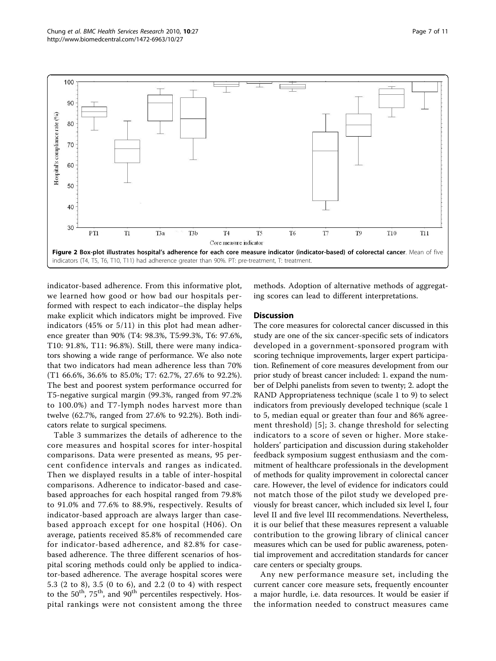<span id="page-6-0"></span>

indicator-based adherence. From this informative plot, we learned how good or how bad our hospitals performed with respect to each indicator–the display helps make explicit which indicators might be improved. Five indicators (45% or 5/11) in this plot had mean adherence greater than 90% (T4: 98.3%, T5:99.3%, T6: 97.6%, T10: 91.8%, T11: 96.8%). Still, there were many indicators showing a wide range of performance. We also note that two indicators had mean adherence less than 70% (T1 66.6%, 36.6% to 85.0%; T7: 62.7%, 27.6% to 92.2%). The best and poorest system performance occurred for T5-negative surgical margin (99.3%, ranged from 97.2% to 100.0%) and T7-lymph nodes harvest more than twelve (62.7%, ranged from 27.6% to 92.2%). Both indicators relate to surgical specimens.

Table [3](#page-7-0) summarizes the details of adherence to the core measures and hospital scores for inter-hospital comparisons. Data were presented as means, 95 percent confidence intervals and ranges as indicated. Then we displayed results in a table of inter-hospital comparisons. Adherence to indicator-based and casebased approaches for each hospital ranged from 79.8% to 91.0% and 77.6% to 88.9%, respectively. Results of indicator-based approach are always larger than casebased approach except for one hospital (H06). On average, patients received 85.8% of recommended care for indicator-based adherence, and 82.8% for casebased adherence. The three different scenarios of hospital scoring methods could only be applied to indicator-based adherence. The average hospital scores were 5.3 (2 to 8), 3.5 (0 to 6), and 2.2 (0 to 4) with respect to the 50<sup>th</sup>, 75<sup>th</sup>, and 90<sup>th</sup> percentiles respectively. Hospital rankings were not consistent among the three

methods. Adoption of alternative methods of aggregating scores can lead to different interpretations.

## **Discussion**

The core measures for colorectal cancer discussed in this study are one of the six cancer-specific sets of indicators developed in a government-sponsored program with scoring technique improvements, larger expert participation. Refinement of core measures development from our prior study of breast cancer included: 1. expand the number of Delphi panelists from seven to twenty; 2. adopt the RAND Appropriateness technique (scale 1 to 9) to select indicators from previously developed technique (scale 1 to 5, median equal or greater than four and 86% agreement threshold) [[5\]](#page-10-0); 3. change threshold for selecting indicators to a score of seven or higher. More stakeholders' participation and discussion during stakeholder feedback symposium suggest enthusiasm and the commitment of healthcare professionals in the development of methods for quality improvement in colorectal cancer care. However, the level of evidence for indicators could not match those of the pilot study we developed previously for breast cancer, which included six level I, four level II and five level III recommendations. Nevertheless, it is our belief that these measures represent a valuable contribution to the growing library of clinical cancer measures which can be used for public awareness, potential improvement and accreditation standards for cancer care centers or specialty groups.

Any new performance measure set, including the current cancer core measure sets, frequently encounter a major hurdle, i.e. data resources. It would be easier if the information needed to construct measures came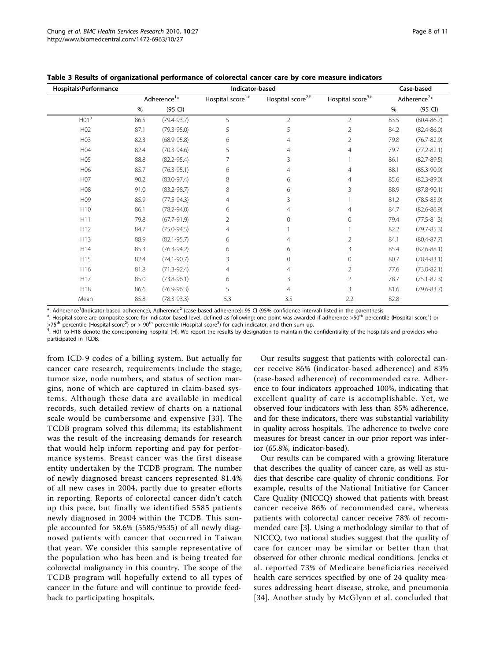| Hospitals\Performance | Indicator-based |                          |                                    |                                   |                                    |      | Case-based              |  |
|-----------------------|-----------------|--------------------------|------------------------------------|-----------------------------------|------------------------------------|------|-------------------------|--|
|                       |                 | Adherence <sup>1</sup> * | Hospital score $1^{\overline{\#}}$ | Hospital score $2^{\overline{t}}$ | Hospital score $3^{\overline{\#}}$ |      | Adherence <sup>2*</sup> |  |
|                       | $\%$            | $(95 \text{ Cl})$        |                                    |                                   |                                    | %    | $(95 \text{ Cl})$       |  |
| H01 <sup>6</sup>      | 86.5            | $(79.4 - 93.7)$          | 5                                  | $\overline{2}$                    | $\overline{2}$                     | 83.5 | $(80.4 - 86.7)$         |  |
| H <sub>02</sub>       | 87.1            | $(79.3 - 95.0)$          | 5                                  | 5                                 | $\overline{2}$                     | 84.2 | $(82.4 - 86.0)$         |  |
| H <sub>0</sub> 3      | 82.3            | $(68.9 - 95.8)$          | 6                                  | 4                                 | 2                                  | 79.8 | $(76.7 - 82.9)$         |  |
| H04                   | 82.4            | $(70.3 - 94.6)$          | 5                                  | 4                                 | $\overline{4}$                     | 79.7 | $(77.2 - 82.1)$         |  |
| H05                   | 88.8            | $(82.2 - 95.4)$          |                                    | 3                                 |                                    | 86.1 | $(82.7 - 89.5)$         |  |
| H06                   | 85.7            | $(76.3 - 95.1)$          | 6                                  | 4                                 | $\overline{4}$                     | 88.1 | $(85.3 - 90.9)$         |  |
| H07                   | 90.2            | $(83.0 - 97.4)$          | 8                                  | 6                                 | $\overline{4}$                     | 85.6 | $(82.3 - 89.0)$         |  |
| H08                   | 91.0            | $(83.2 - 98.7)$          | 8                                  | 6                                 | 3                                  | 88.9 | $(87.8 - 90.1)$         |  |
| H <sub>09</sub>       | 85.9            | $(77.5 - 94.3)$          | $\overline{4}$                     | 3                                 |                                    | 81.2 | $(78.5 - 83.9)$         |  |
| H <sub>10</sub>       | 86.1            | $(78.2 - 94.0)$          | 6                                  | 4                                 | $\overline{4}$                     | 84.7 | $(82.6 - 86.9)$         |  |
| H11                   | 79.8            | $(67.7 - 91.9)$          | 2                                  | 0                                 | $\mathbf{0}$                       | 79.4 | $(77.5 - 81.3)$         |  |
| H <sub>12</sub>       | 84.7            | $(75.0 - 94.5)$          | $\overline{4}$                     |                                   |                                    | 82.2 | $(79.7 - 85.3)$         |  |
| H13                   | 88.9            | $(82.1 - 95.7)$          | 6                                  | 4                                 | $\overline{2}$                     | 84.1 | $(80.4 - 87.7)$         |  |
| H14                   | 85.3            | $(76.3 - 94.2)$          | 6                                  | 6                                 | 3                                  | 85.4 | $(82.6 - 88.1)$         |  |
| H <sub>15</sub>       | 82.4            | $(74.1 - 90.7)$          | 3                                  | 0                                 | 0                                  | 80.7 | $(78.4 - 83.1)$         |  |
| H <sub>16</sub>       | 81.8            | $(71.3 - 92.4)$          | $\overline{4}$                     | 4                                 | $\overline{2}$                     | 77.6 | $(73.0 - 82.1)$         |  |
| H17                   | 85.0            | $(73.8 - 96.1)$          | 6                                  | 3                                 | $\overline{2}$                     | 78.7 | $(75.1 - 82.3)$         |  |
| H18                   | 86.6            | $(76.9 - 96.3)$          | 5                                  | 4                                 | 3                                  | 81.6 | $(79.6 - 83.7)$         |  |
| Mean                  | 85.8            | $(78.3 - 93.3)$          | 5.3                                | 3.5                               | 2.2                                | 82.8 |                         |  |

<span id="page-7-0"></span>Table 3 Results of organizational performance of colorectal cancer care by core measure indicators

\*: Adherence<sup>1</sup>(Indicator-based adherence); Adherence<sup>2</sup> (case-based adherence); 95 CI (95% confidence interval) listed in the parenthesis<br>#: Hospital score are composite score for indicator-based level, defined as followi

: Hospital score are composite score for indicator-based level, defined as following: one point was awarded if adherence >50<sup>th</sup> percentile (Hospital score<sup>1</sup>) or >75<sup>th</sup> percentile (Hospital score<sup>2</sup>) or > 90<sup>th</sup> percentile (Hospital score<sup>3</sup>) for each indicator, and then sum up.<br><sup>§</sup>, H01 to H19 depate the corresponding because (H). We report the results by decignation to maintain

 $\frac{s}{1}$ : H01 to H18 denote the corresponding hospital (H). We report the results by designation to maintain the confidentiality of the hospitals and providers who participated in TCDB.

from ICD-9 codes of a billing system. But actually for cancer care research, requirements include the stage, tumor size, node numbers, and status of section margins, none of which are captured in claim-based systems. Although these data are available in medical records, such detailed review of charts on a national scale would be cumbersome and expensive [[33](#page-10-0)]. The TCDB program solved this dilemma; its establishment was the result of the increasing demands for research that would help inform reporting and pay for performance systems. Breast cancer was the first disease entity undertaken by the TCDB program. The number of newly diagnosed breast cancers represented 81.4% of all new cases in 2004, partly due to greater efforts in reporting. Reports of colorectal cancer didn't catch up this pace, but finally we identified 5585 patients newly diagnosed in 2004 within the TCDB. This sample accounted for 58.6% (5585/9535) of all newly diagnosed patients with cancer that occurred in Taiwan that year. We consider this sample representative of the population who has been and is being treated for colorectal malignancy in this country. The scope of the TCDB program will hopefully extend to all types of cancer in the future and will continue to provide feedback to participating hospitals.

Our results suggest that patients with colorectal cancer receive 86% (indicator-based adherence) and 83% (case-based adherence) of recommended care. Adherence to four indicators approached 100%, indicating that excellent quality of care is accomplishable. Yet, we observed four indicators with less than 85% adherence, and for these indicators, there was substantial variability in quality across hospitals. The adherence to twelve core measures for breast cancer in our prior report was inferior (65.8%, indicator-based).

Our results can be compared with a growing literature that describes the quality of cancer care, as well as studies that describe care quality of chronic conditions. For example, results of the National Initiative for Cancer Care Quality (NICCQ) showed that patients with breast cancer receive 86% of recommended care, whereas patients with colorectal cancer receive 78% of recommended care [\[3\]](#page-10-0). Using a methodology similar to that of NICCQ, two national studies suggest that the quality of care for cancer may be similar or better than that observed for other chronic medical conditions. Jencks et al. reported 73% of Medicare beneficiaries received health care services specified by one of 24 quality measures addressing heart disease, stroke, and pneumonia [[34](#page-10-0)]. Another study by McGlynn et al. concluded that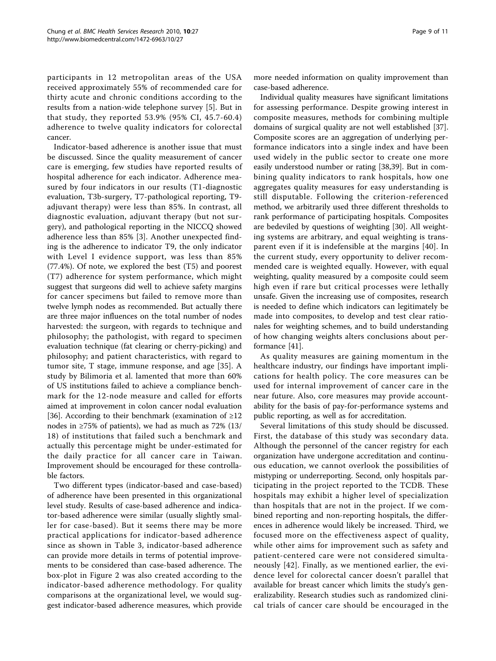participants in 12 metropolitan areas of the USA received approximately 55% of recommended care for thirty acute and chronic conditions according to the results from a nation-wide telephone survey [\[5](#page-10-0)]. But in that study, they reported 53.9% (95% CI, 45.7-60.4) adherence to twelve quality indicators for colorectal cancer.

Indicator-based adherence is another issue that must be discussed. Since the quality measurement of cancer care is emerging, few studies have reported results of hospital adherence for each indicator. Adherence measured by four indicators in our results (T1-diagnostic evaluation, T3b-surgery, T7-pathological reporting, T9 adjuvant therapy) were less than 85%. In contrast, all diagnostic evaluation, adjuvant therapy (but not surgery), and pathological reporting in the NICCQ showed adherence less than 85% [[3\]](#page-10-0). Another unexpected finding is the adherence to indicator T9, the only indicator with Level I evidence support, was less than 85% (77.4%). Of note, we explored the best (T5) and poorest (T7) adherence for system performance, which might suggest that surgeons did well to achieve safety margins for cancer specimens but failed to remove more than twelve lymph nodes as recommended. But actually there are three major influences on the total number of nodes harvested: the surgeon, with regards to technique and philosophy; the pathologist, with regard to specimen evaluation technique (fat clearing or cherry-picking) and philosophy; and patient characteristics, with regard to tumor site, T stage, immune response, and age [\[35\]](#page-10-0). A study by Bilimoria et al. lamented that more than 60% of US institutions failed to achieve a compliance benchmark for the 12-node measure and called for efforts aimed at improvement in colon cancer nodal evaluation [[36\]](#page-10-0). According to their benchmark (examination of  $\geq 12$ nodes in  $\geq$ 75% of patients), we had as much as 72% (13/ 18) of institutions that failed such a benchmark and actually this percentage might be under-estimated for the daily practice for all cancer care in Taiwan. Improvement should be encouraged for these controllable factors.

Two different types (indicator-based and case-based) of adherence have been presented in this organizational level study. Results of case-based adherence and indicator-based adherence were similar (usually slightly smaller for case-based). But it seems there may be more practical applications for indicator-based adherence since as shown in Table [3,](#page-7-0) indicator-based adherence can provide more details in terms of potential improvements to be considered than case-based adherence. The box-plot in Figure [2](#page-6-0) was also created according to the indicator-based adherence methodology. For quality comparisons at the organizational level, we would suggest indicator-based adherence measures, which provide

case-based adherence. Individual quality measures have significant limitations for assessing performance. Despite growing interest in composite measures, methods for combining multiple domains of surgical quality are not well established [\[37](#page-10-0)]. Composite scores are an aggregation of underlying performance indicators into a single index and have been used widely in the public sector to create one more easily understood number or rating [[38,39\]](#page-10-0). But in combining quality indicators to rank hospitals, how one aggregates quality measures for easy understanding is still disputable. Following the criterion-referenced method, we arbitrarily used three different thresholds to rank performance of participating hospitals. Composites are bedeviled by questions of weighting [\[30](#page-10-0)]. All weighting systems are arbitrary, and equal weighting is transparent even if it is indefensible at the margins [\[40\]](#page-10-0). In the current study, every opportunity to deliver recommended care is weighted equally. However, with equal weighting, quality measured by a composite could seem high even if rare but critical processes were lethally unsafe. Given the increasing use of composites, research is needed to define which indicators can legitimately be made into composites, to develop and test clear rationales for weighting schemes, and to build understanding of how changing weights alters conclusions about performance [\[41](#page-10-0)].

more needed information on quality improvement than

As quality measures are gaining momentum in the healthcare industry, our findings have important implications for health policy. The core measures can be used for internal improvement of cancer care in the near future. Also, core measures may provide accountability for the basis of pay-for-performance systems and public reporting, as well as for accreditation.

Several limitations of this study should be discussed. First, the database of this study was secondary data. Although the personnel of the cancer registry for each organization have undergone accreditation and continuous education, we cannot overlook the possibilities of mistyping or underreporting. Second, only hospitals participating in the project reported to the TCDB. These hospitals may exhibit a higher level of specialization than hospitals that are not in the project. If we combined reporting and non-reporting hospitals, the differences in adherence would likely be increased. Third, we focused more on the effectiveness aspect of quality, while other aims for improvement such as safety and patient-centered care were not considered simultaneously [[42\]](#page-10-0). Finally, as we mentioned earlier, the evidence level for colorectal cancer doesn't parallel that available for breast cancer which limits the study's generalizability. Research studies such as randomized clinical trials of cancer care should be encouraged in the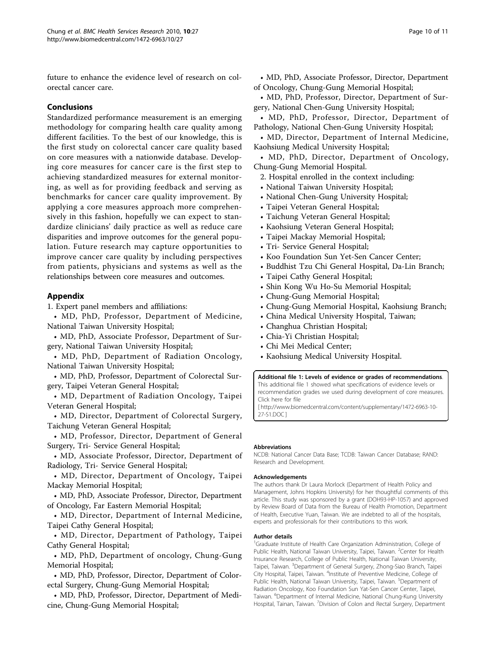<span id="page-9-0"></span>future to enhance the evidence level of research on colorectal cancer care.

## Conclusions

Standardized performance measurement is an emerging methodology for comparing health care quality among different facilities. To the best of our knowledge, this is the first study on colorectal cancer care quality based on core measures with a nationwide database. Developing core measures for cancer care is the first step to achieving standardized measures for external monitoring, as well as for providing feedback and serving as benchmarks for cancer care quality improvement. By applying a core measures approach more comprehensively in this fashion, hopefully we can expect to standardize clinicians' daily practice as well as reduce care disparities and improve outcomes for the general population. Future research may capture opportunities to improve cancer care quality by including perspectives from patients, physicians and systems as well as the relationships between core measures and outcomes.

## Appendix

1. Expert panel members and affiliations:

• MD, PhD, Professor, Department of Medicine, National Taiwan University Hospital;

• MD, PhD, Associate Professor, Department of Surgery, National Taiwan University Hospital;

• MD, PhD, Department of Radiation Oncology, National Taiwan University Hospital;

• MD, PhD, Professor, Department of Colorectal Surgery, Taipei Veteran General Hospital;

• MD, Department of Radiation Oncology, Taipei Veteran General Hospital;

• MD, Director, Department of Colorectal Surgery, Taichung Veteran General Hospital;

• MD, Professor, Director, Department of General Surgery, Tri- Service General Hospital;

• MD, Associate Professor, Director, Department of Radiology, Tri- Service General Hospital;

• MD, Director, Department of Oncology, Taipei Mackay Memorial Hospital;

• MD, PhD, Associate Professor, Director, Department of Oncology, Far Eastern Memorial Hospital;

• MD, Director, Department of Internal Medicine, Taipei Cathy General Hospital;

• MD, Director, Department of Pathology, Taipei Cathy General Hospital;

• MD, PhD, Department of oncology, Chung-Gung Memorial Hospital;

• MD, PhD, Professor, Director, Department of Colorectal Surgery, Chung-Gung Memorial Hospital;

• MD, PhD, Professor, Director, Department of Medicine, Chung-Gung Memorial Hospital;

• MD, PhD, Associate Professor, Director, Department of Oncology, Chung-Gung Memorial Hospital;

• MD, PhD, Professor, Director, Department of Surgery, National Chen-Gung University Hospital;

• MD, PhD, Professor, Director, Department of Pathology, National Chen-Gung University Hospital;

• MD, Director, Department of Internal Medicine, Kaohsiung Medical University Hospital;

• MD, PhD, Director, Department of Oncology, Chung-Gung Memorial Hospital.

- 2. Hospital enrolled in the context including:
- National Taiwan University Hospital;
- National Chen-Gung University Hospital;
- Taipei Veteran General Hospital;
- Taichung Veteran General Hospital;
- Kaohsiung Veteran General Hospital;
- Taipei Mackay Memorial Hospital;
- Tri- Service General Hospital;
- Koo Foundation Sun Yet-Sen Cancer Center;
- Buddhist Tzu Chi General Hospital, Da-Lin Branch;
- Taipei Cathy General Hospital;
- Shin Kong Wu Ho-Su Memorial Hospital;
- Chung-Gung Memorial Hospital;
- Chung-Gung Memorial Hospital, Kaohsiung Branch;
- China Medical University Hospital, Taiwan;
- Changhua Christian Hospital;
- Chia-Yi Christian Hospital;
- Chi Mei Medical Center;
- Kaohsiung Medical University Hospital.

Additional file 1: Levels of evidence or grades of recommendations. This additional file 1 showed what specifications of evidence levels or recommendation grades we used during development of core measures. Click here for file

[ http://www.biomedcentral.com/content/supplementary/1472-6963-10- 27-S1.DOC ]

#### Abbreviations

NCDB: National Cancer Data Base; TCDB: Taiwan Cancer Database; RAND: Research and Development.

#### Acknowledgements

The authors thank Dr Laura Morlock (Department of Health Policy and Management, Johns Hopkins University) for her thoughtful comments of this article. This study was sponsored by a grant (DOH93-HP-1057) and approved by Review Board of Data from the Bureau of Health Promotion, Department of Health, Executive Yuan, Taiwan. We are indebted to all of the hospitals, experts and professionals for their contributions to this work.

#### Author details

<sup>1</sup>Graduate Institute of Health Care Organization Administration, College of Public Health, National Taiwan University, Taipei, Taiwan. <sup>2</sup>Center for Health Insurance Research, College of Public Health, National Taiwan University, Taipei, Taiwan. <sup>3</sup>Department of General Surgery, Zhong-Siao Branch, Taipei City Hospital, Taipei, Taiwan. <sup>4</sup>Institute of Preventive Medicine, College of Public Health, National Taiwan University, Taipei, Taiwan. <sup>5</sup>Department of Radiation Oncology, Koo Foundation Sun Yat-Sen Cancer Center, Taipei, Taiwan. <sup>6</sup>Department of Internal Medicine, National Chung-Kung University Hospital, Tainan, Taiwan. <sup>7</sup> Division of Colon and Rectal Surgery, Department